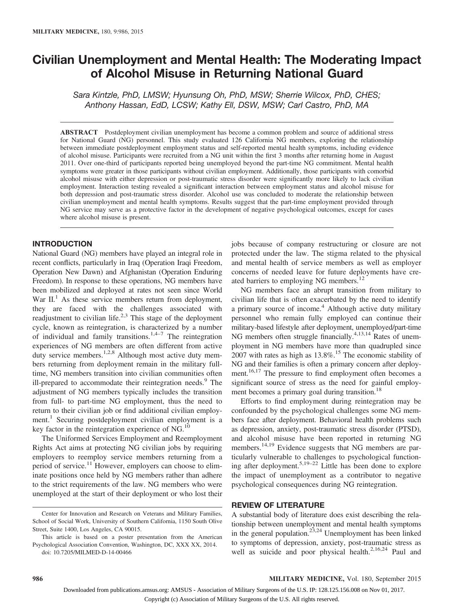# Civilian Unemployment and Mental Health: The Moderating Impact of Alcohol Misuse in Returning National Guard

Sara Kintzle, PhD, LMSW; Hyunsung Oh, PhD, MSW; Sherrie Wilcox, PhD, CHES; Anthony Hassan, EdD, LCSW; Kathy Ell, DSW, MSW; Carl Castro, PhD, MA

ABSTRACT Postdeployment civilian unemployment has become a common problem and source of additional stress for National Guard (NG) personnel. This study evaluated 126 California NG members, exploring the relationship between immediate postdeployment employment status and self-reported mental health symptoms, including evidence of alcohol misuse. Participants were recruited from a NG unit within the first 3 months after returning home in August 2011. Over one-third of participants reported being unemployed beyond the part-time NG commitment. Mental health symptoms were greater in those participants without civilian employment. Additionally, those participants with comorbid alcohol misuse with either depression or post-traumatic stress disorder were significantly more likely to lack civilian employment. Interaction testing revealed a significant interaction between employment status and alcohol misuse for both depression and post-traumatic stress disorder. Alcohol use was concluded to moderate the relationship between civilian unemployment and mental health symptoms. Results suggest that the part-time employment provided through NG service may serve as a protective factor in the development of negative psychological outcomes, except for cases where alcohol misuse is present.

# INTRODUCTION

National Guard (NG) members have played an integral role in recent conflicts, particularly in Iraq (Operation Iraqi Freedom, Operation New Dawn) and Afghanistan (Operation Enduring Freedom). In response to these operations, NG members have been mobilized and deployed at rates not seen since World War  $II$ <sup>1</sup>. As these service members return from deployment, they are faced with the challenges associated with readjustment to civilian life. $2,3$  This stage of the deployment cycle, known as reintegration, is characterized by a number of individual and family transitions.<sup>1,4–7</sup> The reintegration experiences of NG members are often different from active duty service members.<sup>1,2,8</sup> Although most active duty members returning from deployment remain in the military fulltime, NG members transition into civilian communities often ill-prepared to accommodate their reintegration needs.<sup>9</sup> The adjustment of NG members typically includes the transition from full- to part-time NG employment, thus the need to return to their civilian job or find additional civilian employment.<sup>1</sup> Securing postdeployment civilian employment is a key factor in the reintegration experience of  $NG<sup>10</sup>$ .

The Uniformed Services Employment and Reemployment Rights Act aims at protecting NG civilian jobs by requiring employers to reemploy service members returning from a period of service.<sup>11</sup> However, employers can choose to eliminate positions once held by NG members rather than adhere to the strict requirements of the law. NG members who were unemployed at the start of their deployment or who lost their jobs because of company restructuring or closure are not protected under the law. The stigma related to the physical and mental health of service members as well as employer concerns of needed leave for future deployments have created barriers to employing NG members.<sup>12</sup>

NG members face an abrupt transition from military to civilian life that is often exacerbated by the need to identify a primary source of income.<sup>4</sup> Although active duty military personnel who remain fully employed can continue their military-based lifestyle after deployment, unemployed/part-time NG members often struggle financially. $4,13,14$  Rates of unemployment in NG members have more than quadrupled since  $2007$  with rates as high as  $13.8\%$ .<sup>15</sup> The economic stability of NG and their families is often a primary concern after deployment.16,17 The pressure to find employment often becomes a significant source of stress as the need for gainful employment becomes a primary goal during transition.<sup>18</sup>

Efforts to find employment during reintegration may be confounded by the psychological challenges some NG members face after deployment. Behavioral health problems such as depression, anxiety, post-traumatic stress disorder (PTSD), and alcohol misuse have been reported in returning NG members.<sup>14,19</sup> Evidence suggests that NG members are particularly vulnerable to challenges to psychological functioning after deployment.<sup>5,19–22</sup> Little has been done to explore the impact of unemployment as a contributor to negative psychological consequences during NG reintegration.

## REVIEW OF LITERATURE

A substantial body of literature does exist describing the relationship between unemployment and mental health symptoms in the general population.<sup>23,24</sup> Unemployment has been linked to symptoms of depression, anxiety, post-traumatic stress as well as suicide and poor physical health.<sup>2,16,24</sup> Paul and

986 MILITARY MEDICINE, Vol. 180, September 2015

Center for Innovation and Research on Veterans and Military Families, School of Social Work, University of Southern California, 1150 South Olive Street, Suite 1400, Los Angeles, CA 90015.

This article is based on a poster presentation from the American Psychological Association Convention, Washington, DC, XXX XX, 2014. doi: 10.7205/MILMED-D-14-00466

Downloaded from publications.amsus.org: AMSUS - Association of Military Surgeons of the U.S. IP: 128.125.156.008 on Nov 01, 2017.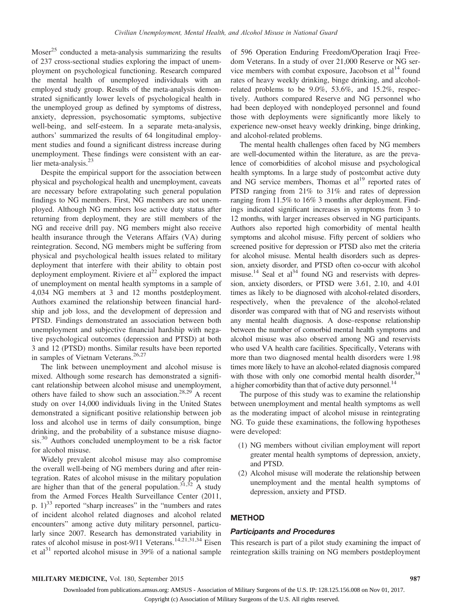Moser<sup>25</sup> conducted a meta-analysis summarizing the results of 237 cross-sectional studies exploring the impact of unemployment on psychological functioning. Research compared the mental health of unemployed individuals with an employed study group. Results of the meta-analysis demonstrated significantly lower levels of psychological health in the unemployed group as defined by symptoms of distress, anxiety, depression, psychosomatic symptoms, subjective well-being, and self-esteem. In a separate meta-analysis, authors' summarized the results of 64 longitudinal employment studies and found a significant distress increase during unemployment. These findings were consistent with an earlier meta-analysis.<sup>23</sup>

Despite the empirical support for the association between physical and psychological health and unemployment, caveats are necessary before extrapolating such general population findings to NG members. First, NG members are not unemployed. Although NG members lose active duty status after returning from deployment, they are still members of the NG and receive drill pay. NG members might also receive health insurance through the Veterans Affairs (VA) during reintegration. Second, NG members might be suffering from physical and psychological health issues related to military deployment that interfere with their ability to obtain post deployment employment. Riviere et  $al<sup>22</sup>$  explored the impact of unemployment on mental health symptoms in a sample of 4,034 NG members at 3 and 12 months postdeployment. Authors examined the relationship between financial hardship and job loss, and the development of depression and PTSD. Findings demonstrated an association between both unemployment and subjective financial hardship with negative psychological outcomes (depression and PTSD) at both 3 and 12 (PTSD) months. Similar results have been reported in samples of Vietnam Veterans.<sup>26,27</sup>

The link between unemployment and alcohol misuse is mixed. Although some research has demonstrated a significant relationship between alcohol misuse and unemployment, others have failed to show such an association.<sup>28,29</sup> A recent study on over 14,000 individuals living in the United States demonstrated a significant positive relationship between job loss and alcohol use in terms of daily consumption, binge drinking, and the probability of a substance misuse diagnosis.<sup>30</sup> Authors concluded unemployment to be a risk factor for alcohol misuse.

Widely prevalent alcohol misuse may also compromise the overall well-being of NG members during and after reintegration. Rates of alcohol misuse in the military population are higher than that of the general population.<sup>31,32</sup> A study from the Armed Forces Health Surveillance Center (2011, p.  $1)^{33}$  reported "sharp increases" in the "numbers and rates of incident alcohol related diagnoses and alcohol related encounters" among active duty military personnel, particularly since 2007. Research has demonstrated variability in rates of alcohol misuse in post-9/11 Veterans.<sup>14,21,31,34</sup> Eisen et al $^{31}$  reported alcohol misuse in 39% of a national sample

of 596 Operation Enduring Freedom/Operation Iraqi Freedom Veterans. In a study of over 21,000 Reserve or NG service members with combat exposure, Jacobson et  $al<sup>14</sup>$  found rates of heavy weekly drinking, binge drinking, and alcoholrelated problems to be 9.0%, 53.6%, and 15.2%, respectively. Authors compared Reserve and NG personnel who had been deployed with nondeployed personnel and found those with deployments were significantly more likely to experience new-onset heavy weekly drinking, binge drinking, and alcohol-related problems.

The mental health challenges often faced by NG members are well-documented within the literature, as are the prevalence of comorbidities of alcohol misuse and psychological health symptoms. In a large study of postcombat active duty and NG service members, Thomas et  $al<sup>19</sup>$  reported rates of PTSD ranging from 21% to 31% and rates of depression ranging from 11.5% to 16% 3 months after deployment. Findings indicated significant increases in symptoms from 3 to 12 months, with larger increases observed in NG participants. Authors also reported high comorbidity of mental health symptoms and alcohol misuse. Fifty percent of soldiers who screened positive for depression or PTSD also met the criteria for alcohol misuse. Mental health disorders such as depression, anxiety disorder, and PTSD often co-occur with alcohol misuse.<sup>14</sup> Seal et al<sup>34</sup> found NG and reservists with depression, anxiety disorders, or PTSD were 3.61, 2.10, and 4.01 times as likely to be diagnosed with alcohol-related disorders, respectively, when the prevalence of the alcohol-related disorder was compared with that of NG and reservists without any mental health diagnosis. A dose–response relationship between the number of comorbid mental health symptoms and alcohol misuse was also observed among NG and reservists who used VA health care facilities. Specifically, Veterans with more than two diagnosed mental health disorders were 1.98 times more likely to have an alcohol-related diagnosis compared with those with only one comorbid mental health disorder,  $34$ a higher comorbidity than that of active duty personnel.<sup>14</sup>

The purpose of this study was to examine the relationship between unemployment and mental health symptoms as well as the moderating impact of alcohol misuse in reintegrating NG. To guide these examinations, the following hypotheses were developed:

- (1) NG members without civilian employment will report greater mental health symptoms of depression, anxiety, and PTSD.
- (2) Alcohol misuse will moderate the relationship between unemployment and the mental health symptoms of depression, anxiety and PTSD.

# METHOD

## Participants and Procedures

This research is part of a pilot study examining the impact of reintegration skills training on NG members postdeployment

## MILITARY MEDICINE, Vol. 180, September 2015 987

Downloaded from publications.amsus.org: AMSUS - Association of Military Surgeons of the U.S. IP: 128.125.156.008 on Nov 01, 2017. Copyright (c) Association of Military Surgeons of the U.S. All rights reserved.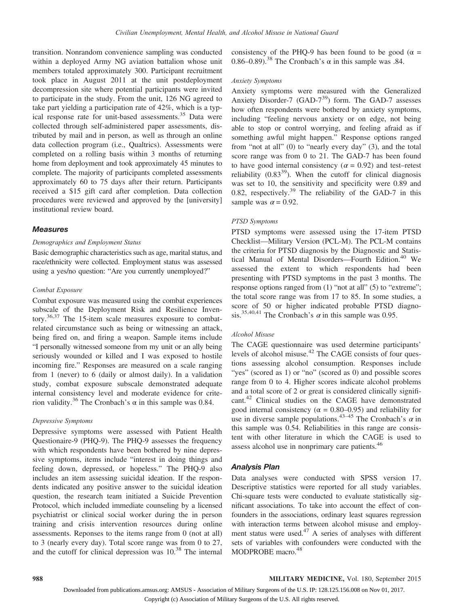transition. Nonrandom convenience sampling was conducted within a deployed Army NG aviation battalion whose unit members totaled approximately 300. Participant recruitment took place in August 2011 at the unit postdeployment decompression site where potential participants were invited to participate in the study. From the unit, 126 NG agreed to take part yielding a participation rate of 42%, which is a typical response rate for unit-based assessments.<sup>35</sup> Data were collected through self-administered paper assessments, distributed by mail and in person, as well as through an online data collection program (i.e., Qualtrics). Assessments were completed on a rolling basis within 3 months of returning home from deployment and took approximately 45 minutes to complete. The majority of participants completed assessments approximately 60 to 75 days after their return. Participants received a \$15 gift card after completion. Data collection procedures were reviewed and approved by the [university] institutional review board.

## Measures

## Demographics and Employment Status

Basic demographic characteristics such as age, marital status, and race/ethnicity were collected. Employment status was assessed using a yes/no question: "Are you currently unemployed?"

## Combat Exposure

Combat exposure was measured using the combat experiences subscale of the Deployment Risk and Resilience Inventory.36,37 The 15-item scale measures exposure to combatrelated circumstance such as being or witnessing an attack, being fired on, and firing a weapon. Sample items include "I personally witnessed someone from my unit or an ally being seriously wounded or killed and I was exposed to hostile incoming fire." Responses are measured on a scale ranging from 1 (never) to 6 (daily or almost daily). In a validation study, combat exposure subscale demonstrated adequate internal consistency level and moderate evidence for criterion validity.<sup>36</sup> The Cronbach's α in this sample was 0.84.

### Depressive Symptoms

Depressive symptoms were assessed with Patient Health Questionaire-9 (PHQ-9). The PHQ-9 assesses the frequency with which respondents have been bothered by nine depressive symptoms, items include "interest in doing things and feeling down, depressed, or hopeless." The PHQ-9 also includes an item assessing suicidal ideation. If the respondents indicated any positive answer to the suicidal ideation question, the research team initiated a Suicide Prevention Protocol, which included immediate counseling by a licensed psychiatrist or clinical social worker during the in person training and crisis intervention resources during online assessments. Reponses to the items range from 0 (not at all) to 3 (nearly every day). Total score range was from 0 to 27, and the cutoff for clinical depression was  $10^{38}$  The internal consistency of the PHQ-9 has been found to be good ( $\alpha$  = 0.86–0.89).<sup>38</sup> The Cronbach's  $\alpha$  in this sample was .84.

## Anxiety Symptoms

Anxiety symptoms were measured with the Generalized Anxiety Disorder-7 (GAD- $7^{39}$ ) form. The GAD-7 assesses how often respondents were bothered by anxiety symptoms, including "feeling nervous anxiety or on edge, not being able to stop or control worrying, and feeling afraid as if something awful might happen." Response options ranged from "not at all" (0) to "nearly every day" (3), and the total score range was from 0 to 21. The GAD-7 has been found to have good internal consistency ( $\alpha$  = 0.92) and test–retest reliability  $(0.83^{39})$ . When the cutoff for clinical diagnosis was set to 10, the sensitivity and specificity were 0.89 and 0.82, respectively.<sup>39</sup> The reliability of the GAD-7 in this sample was  $\alpha = 0.92$ .

## PTSD Symptoms

PTSD symptoms were assessed using the 17-item PTSD Checklist—Military Version (PCL-M). The PCL-M contains the criteria for PTSD diagnosis by the Diagnostic and Statistical Manual of Mental Disorders—Fourth Edition.<sup>40</sup> We assessed the extent to which respondents had been presenting with PTSD symptoms in the past 3 months. The response options ranged from (1) "not at all" (5) to "extreme"; the total score range was from 17 to 85. In some studies, a score of 50 or higher indicated probable PTSD diagnosis.<sup>35,40,41</sup> The Cronbach's  $\alpha$  in this sample was 0.95.

#### Alcohol Misuse

The CAGE questionnaire was used determine participants' levels of alcohol misuse.<sup>42</sup> The CAGE consists of four questions assessing alcohol consumption. Responses include "yes" (scored as 1) or "no" (scored as 0) and possible scores range from 0 to 4. Higher scores indicate alcohol problems and a total score of 2 or great is considered clinically significant.<sup>42</sup> Clinical studies on the CAGE have demonstrated good internal consistency ( $\alpha = 0.80{\text -}0.95$ ) and reliability for use in diverse sample populations.<sup>43–45</sup> The Cronbach's  $\alpha$  in this sample was 0.54. Reliabilities in this range are consistent with other literature in which the CAGE is used to assess alcohol use in nonprimary care patients.<sup>46</sup>

## Analysis Plan

Data analyses were conducted with SPSS version 17. Descriptive statistics were reported for all study variables. Chi-square tests were conducted to evaluate statistically significant associations. To take into account the effect of confounders in the associations, ordinary least squares regression with interaction terms between alcohol misuse and employment status were used.47 A series of analyses with different sets of variables with confounders were conducted with the MODPROBE macro.<sup>48</sup>

Copyright (c) Association of Military Surgeons of the U.S. All rights reserved.

Downloaded from publications.amsus.org: AMSUS - Association of Military Surgeons of the U.S. IP: 128.125.156.008 on Nov 01, 2017.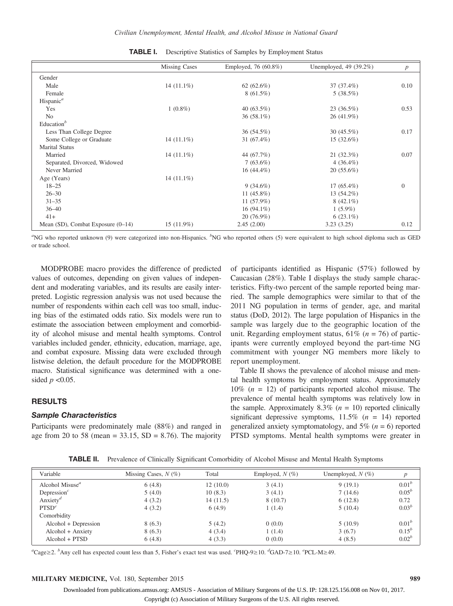|                                        | <b>Missing Cases</b> | Employed, 76 (60.8%) | Unemployed, 49 (39.2%) | $\boldsymbol{p}$ |
|----------------------------------------|----------------------|----------------------|------------------------|------------------|
| Gender                                 |                      |                      |                        |                  |
| Male                                   | $14(11.1\%)$         | 62 $(62.6\%)$        | 37 (37.4%)             | 0.10             |
| Female                                 |                      | $8(61.5\%)$          | 5(38.5%)               |                  |
| Hispanic <sup><math>a</math></sup>     |                      |                      |                        |                  |
| Yes                                    | $1(0.8\%)$           | 40 $(63.5\%)$        | 23(36.5%)              | 0.53             |
| N <sub>0</sub>                         |                      | 36 $(58.1\%)$        | 26 (41.9%)             |                  |
| Education $b$                          |                      |                      |                        |                  |
| Less Than College Degree               |                      | 36 (54.5%)           | 30 $(45.5\%)$          | 0.17             |
| Some College or Graduate               | $14(11.1\%)$         | $31(67.4\%)$         | 15(32.6%)              |                  |
| <b>Marital Status</b>                  |                      |                      |                        |                  |
| Married                                | $14(11.1\%)$         | 44 (67.7%)           | 21(32.3%)              | 0.07             |
| Separated, Divorced, Widowed           |                      | $7(63.6\%)$          | $4(36.4\%)$            |                  |
| Never Married                          |                      | $16(44.4\%)$         | $20(55.6\%)$           |                  |
| Age (Years)                            | 14 $(11.1\%)$        |                      |                        |                  |
| $18 - 25$                              |                      | $9(34.6\%)$          | $17(65.4\%)$           | $\Omega$         |
| $26 - 30$                              |                      | 11 $(45.8\%)$        | 13 (54.2%)             |                  |
| $31 - 35$                              |                      | 11 (57.9%)           | $8(42.1\%)$            |                  |
| $36 - 40$                              |                      | $16(94.1\%)$         | $1(5.9\%)$             |                  |
| $41+$                                  |                      | $20(76.9\%)$         | $6(23.1\%)$            |                  |
| Mean $(SD)$ , Combat Exposure $(0-14)$ | $15(11.9\%)$         | 2.45(2.00)           | 3.23(3.25)             | 0.12             |

| TABLE I. |  |  |  |  |  | Descriptive Statistics of Samples by Employment Status |  |
|----------|--|--|--|--|--|--------------------------------------------------------|--|
|----------|--|--|--|--|--|--------------------------------------------------------|--|

"NG who reported unknown (9) were categorized into non-Hispanics. <sup>b</sup>NG who reported others (5) were equivalent to high school diploma such as GED or trade school.

MODPROBE macro provides the difference of predicted values of outcomes, depending on given values of independent and moderating variables, and its results are easily interpreted. Logistic regression analysis was not used because the number of respondents within each cell was too small, inducing bias of the estimated odds ratio. Six models were run to estimate the association between employment and comorbidity of alcohol misuse and mental health symptoms. Control variables included gender, ethnicity, education, marriage, age, and combat exposure. Missing data were excluded through listwise deletion, the default procedure for the MODPROBE macro. Statistical significance was determined with a onesided  $p < 0.05$ .

# **RESULTS**

## Sample Characteristics

Participants were predominately male (88%) and ranged in age from 20 to 58 (mean =  $33.15$ , SD =  $8.76$ ). The majority of participants identified as Hispanic (57%) followed by Caucasian (28%). Table I displays the study sample characteristics. Fifty-two percent of the sample reported being married. The sample demographics were similar to that of the 2011 NG population in terms of gender, age, and marital status (DoD, 2012). The large population of Hispanics in the sample was largely due to the geographic location of the unit. Regarding employment status,  $61\%$  ( $n = 76$ ) of participants were currently employed beyond the part-time NG commitment with younger NG members more likely to report unemployment.

Table II shows the prevalence of alcohol misuse and mental health symptoms by employment status. Approximately  $10\%$  ( $n = 12$ ) of participants reported alcohol misuse. The prevalence of mental health symptoms was relatively low in the sample. Approximately 8.3% ( $n = 10$ ) reported clinically significant depressive symptoms,  $11.5\%$  ( $n = 14$ ) reported generalized anxiety symptomatology, and  $5\%$  ( $n = 6$ ) reported PTSD symptoms. Mental health symptoms were greater in

TABLE II. Prevalence of Clinically Significant Comorbidity of Alcohol Misuse and Mental Health Symptoms

| Variable                                 | Missing Cases, $N$ (%) | Total    | Employed, $N(\%)$ | Unemployed, $N(\%)$ | p                 |
|------------------------------------------|------------------------|----------|-------------------|---------------------|-------------------|
| Alcohol Misuse <sup><math>a</math></sup> | 6(4.8)                 | 12(10.0) | 3(4.1)            | 9(19.1)             | $0.01^{b}$        |
| Depression <sup><math>c</math></sup>     | 5(4.0)                 | 10(8.3)  | 3(4.1)            | 7(14.6)             | $0.05^{b}$        |
| Anxiety <sup><i>d</i></sup>              | 4(3.2)                 | 14(11.5) | 8(10.7)           | 6(12.8)             | 0.72              |
| PTSD <sup>e</sup>                        | 4(3.2)                 | 6(4.9)   | 1(1.4)            | 5(10.4)             | $0.03^{b}$        |
| Comorbidity                              |                        |          |                   |                     |                   |
| Alcohol + Depression                     | 8(6.3)                 | 5(4.2)   | 0(0.0)            | 5(10.9)             | 0.01 <sup>b</sup> |
| Alcohol + Anxiety                        | 8(6.3)                 | 4(3.4)   | 1(1.4)            | 3(6.7)              | $0.15^{b}$        |
| Alcohol + PTSD                           | 6(4.8)                 | 4(3.3)   | 0(0.0)            | 4(8.5)              | $0.02^{b}$        |

<sup>a</sup>Cage≥2. <sup>b</sup>Any cell has expected count less than 5, Fisher's exact test was used. 'PHQ-9≥10. <sup>d</sup>GAD-7≥10. 'PCL-M≥49.

## MILITARY MEDICINE, Vol. 180, September 2015 989

Downloaded from publications.amsus.org: AMSUS - Association of Military Surgeons of the U.S. IP: 128.125.156.008 on Nov 01, 2017. Copyright (c) Association of Military Surgeons of the U.S. All rights reserved.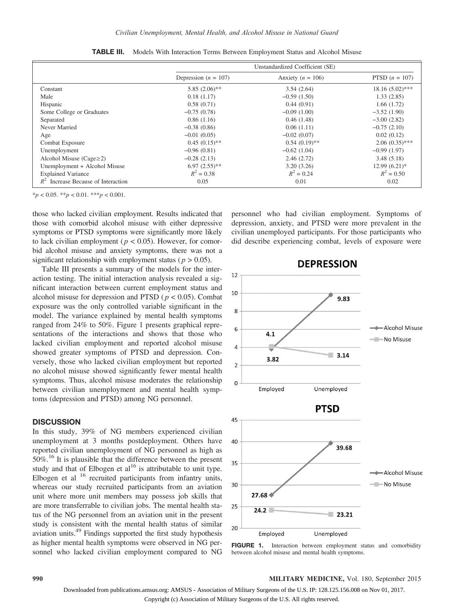|                                       | Unstandardized Coefficient (SE) |                       |                   |  |  |
|---------------------------------------|---------------------------------|-----------------------|-------------------|--|--|
|                                       | Depression ( $n = 107$ )        | Anxiety ( $n = 106$ ) | PTSD $(n = 107)$  |  |  |
| Constant                              | $5.85(2.06)$ **                 | 3.54(2.64)            | $18.16(5.02)$ *** |  |  |
| Male                                  | 0.18(1.17)                      | $-0.59(1.50)$         | 1.33(2.85)        |  |  |
| Hispanic                              | 0.58(0.71)                      | 0.44(0.91)            | 1.66(1.72)        |  |  |
| Some College or Graduates             | $-0.75(0.78)$                   | $-0.09(1.00)$         | $-3.52(1.90)$     |  |  |
| Separated                             | 0.86(1.16)                      | 0.46(1.48)            | $-3.00(2.82)$     |  |  |
| Never Married                         | $-0.38(0.86)$                   | 0.06(1.11)            | $-0.75(2.10)$     |  |  |
| Age                                   | $-0.01(0.05)$                   | $-0.02(0.07)$         | 0.02(0.12)        |  |  |
| Combat Exposure                       | $0.45(0.15)$ **                 | $0.54(0.19)$ **       | $2.06(0.35)$ ***  |  |  |
| Unemployment                          | $-0.96(0.81)$                   | $-0.62(1.04)$         | $-0.99(1.97)$     |  |  |
| Alcohol Misuse (Cage $\geq$ 2)        | $-0.28(2.13)$                   | 2.46(2.72)            | 3.48(5.18)        |  |  |
| Unemployment + Alcohol Misuse         | $6.97(2.55)$ **                 | 3.20(3.26)            | $12.99(6.21)$ *   |  |  |
| <b>Explained Variance</b>             | $R^2 = 0.38$                    | $R^2 = 0.24$          | $R^2 = 0.50$      |  |  |
| $R^2$ Increase Because of Interaction | 0.05                            | 0.01                  | 0.02              |  |  |

TABLE III. Models With Interaction Terms Between Employment Status and Alcohol Misuse

 $*_{p}$  < 0.05.  $*_{p}$  < 0.01.  $*_{p}$  < 0.001.

those who lacked civilian employment. Results indicated that those with comorbid alcohol misuse with either depressive symptoms or PTSD symptoms were significantly more likely to lack civilian employment ( $p < 0.05$ ). However, for comorbid alcohol misuse and anxiety symptoms, there was not a significant relationship with employment status ( $p > 0.05$ ).

Table III presents a summary of the models for the interaction testing. The initial interaction analysis revealed a significant interaction between current employment status and alcohol misuse for depression and PTSD ( $p < 0.05$ ). Combat exposure was the only controlled variable significant in the model. The variance explained by mental health symptoms ranged from 24% to 50%. Figure 1 presents graphical representations of the interactions and shows that those who lacked civilian employment and reported alcohol misuse showed greater symptoms of PTSD and depression. Conversely, those who lacked civilian employment but reported no alcohol misuse showed significantly fewer mental health symptoms. Thus, alcohol misuse moderates the relationship between civilian unemployment and mental health symptoms (depression and PTSD) among NG personnel.

## **DISCUSSION**

In this study, 39% of NG members experienced civilian unemployment at 3 months postdeployment. Others have reported civilian unemployment of NG personnel as high as 50%.<sup>16</sup> It is plausible that the difference between the present study and that of Elbogen et al<sup>16</sup> is attributable to unit type. Elbogen et al  $16$  recruited participants from infantry units, whereas our study recruited participants from an aviation unit where more unit members may possess job skills that are more transferrable to civilian jobs. The mental health status of the NG personnel from an aviation unit in the present study is consistent with the mental health status of similar aviation units.49 Findings supported the first study hypothesis as higher mental health symptoms were observed in NG personnel who lacked civilian employment compared to NG personnel who had civilian employment. Symptoms of depression, anxiety, and PTSD were more prevalent in the civilian unemployed participants. For those participants who did describe experiencing combat, levels of exposure were





#### 990 MILITARY MEDICINE, Vol. 180, September 2015

Downloaded from publications.amsus.org: AMSUS - Association of Military Surgeons of the U.S. IP: 128.125.156.008 on Nov 01, 2017.

Copyright (c) Association of Military Surgeons of the U.S. All rights reserved.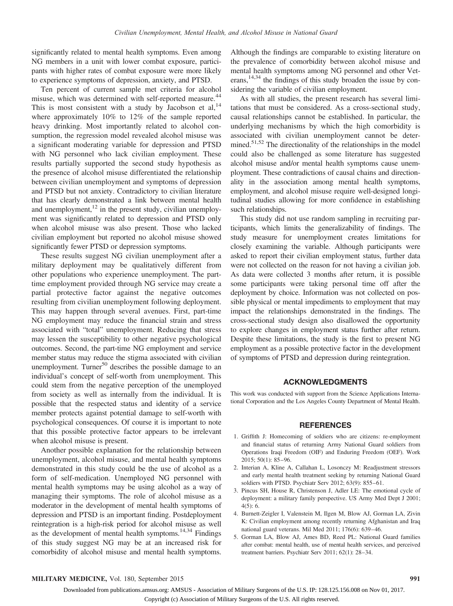significantly related to mental health symptoms. Even among NG members in a unit with lower combat exposure, participants with higher rates of combat exposure were more likely to experience symptoms of depression, anxiety, and PTSD.

Ten percent of current sample met criteria for alcohol misuse, which was determined with self-reported measure.<sup>44</sup> This is most consistent with a study by Jacobson et  $al$ ,  $14$ where approximately 10% to 12% of the sample reported heavy drinking. Most importantly related to alcohol consumption, the regression model revealed alcohol misuse was a significant moderating variable for depression and PTSD with NG personnel who lack civilian employment. These results partially supported the second study hypothesis as the presence of alcohol misuse differentiated the relationship between civilian unemployment and symptoms of depression and PTSD but not anxiety. Contradictory to civilian literature that has clearly demonstrated a link between mental health and unemployment, $12$  in the present study, civilian unemployment was significantly related to depression and PTSD only when alcohol misuse was also present. Those who lacked civilian employment but reported no alcohol misuse showed significantly fewer PTSD or depression symptoms.

These results suggest NG civilian unemployment after a military deployment may be qualitatively different from other populations who experience unemployment. The parttime employment provided through NG service may create a partial protective factor against the negative outcomes resulting from civilian unemployment following deployment. This may happen through several avenues. First, part-time NG employment may reduce the financial strain and stress associated with "total" unemployment. Reducing that stress may lessen the susceptibility to other negative psychological outcomes. Second, the part-time NG employment and service member status may reduce the stigma associated with civilian unemployment. Turner $^{50}$  describes the possible damage to an individual's concept of self-worth from unemployment. This could stem from the negative perception of the unemployed from society as well as internally from the individual. It is possible that the respected status and identity of a service member protects against potential damage to self-worth with psychological consequences. Of course it is important to note that this possible protective factor appears to be irrelevant when alcohol misuse is present.

Another possible explanation for the relationship between unemployment, alcohol misuse, and mental health symptoms demonstrated in this study could be the use of alcohol as a form of self-medication. Unemployed NG personnel with mental health symptoms may be using alcohol as a way of managing their symptoms. The role of alcohol misuse as a moderator in the development of mental health symptoms of depression and PTSD is an important finding. Postdeployment reintegration is a high-risk period for alcohol misuse as well as the development of mental health symptoms. $14,34$  Findings of this study suggest NG may be at an increased risk for comorbidity of alcohol misuse and mental health symptoms.

Although the findings are comparable to existing literature on the prevalence of comorbidity between alcohol misuse and mental health symptoms among NG personnel and other Veterans, $14,34$  the findings of this study broaden the issue by considering the variable of civilian employment.

As with all studies, the present research has several limitations that must be considered. As a cross-sectional study, causal relationships cannot be established. In particular, the underlying mechanisms by which the high comorbidity is associated with civilian unemployment cannot be determined.51,52 The directionality of the relationships in the model could also be challenged as some literature has suggested alcohol misuse and/or mental health symptoms cause unemployment. These contradictions of causal chains and directionality in the association among mental health symptoms, employment, and alcohol misuse require well-designed longitudinal studies allowing for more confidence in establishing such relationships.

This study did not use random sampling in recruiting participants, which limits the generalizability of findings. The study measure for unemployment creates limitations for closely examining the variable. Although participants were asked to report their civilian employment status, further data were not collected on the reason for not having a civilian job. As data were collected 3 months after return, it is possible some participants were taking personal time off after the deployment by choice. Information was not collected on possible physical or mental impediments to employment that may impact the relationships demonstrated in the findings. The cross-sectional study design also disallowed the opportunity to explore changes in employment status further after return. Despite these limitations, the study is the first to present NG employment as a possible protective factor in the development of symptoms of PTSD and depression during reintegration.

## ACKNOWLEDGMENTS

This work was conducted with support from the Science Applications International Corporation and the Los Angeles County Department of Mental Health.

#### REFERENCES

- 1. Griffith J: Homecoming of soldiers who are citizens: re-employment and financial status of returning Army National Guard soldiers from Operations Iraqi Freedom (OIF) and Enduring Freedom (OEF). Work 2015; 50(1): 85–96.
- 2. Interian A, Kline A, Callahan L, Losonczy M: Readjustment stressors and early mental health treatment seeking by returning National Guard soldiers with PTSD. Psychiatr Serv 2012; 63(9): 855–61.
- 3. Pincus SH, House R, Christenson J, Adler LE: The emotional cycle of deployment: a military family perspective. US Army Med Dept J 2001; 4(5): 6.
- 4. Burnett-Zeigler I, Valenstein M, Ilgen M, Blow AJ, Gorman LA, Zivin K: Civilian employment among recently returning Afghanistan and Iraq national guard veterans. Mil Med 2011; 176(6): 639–46.
- 5. Gorman LA, Blow AJ, Ames BD, Reed PL: National Guard families after combat: mental health, use of mental health services, and perceived treatment barriers. Psychiatr Serv 2011; 62(1): 28–34.

Downloaded from publications.amsus.org: AMSUS - Association of Military Surgeons of the U.S. IP: 128.125.156.008 on Nov 01, 2017.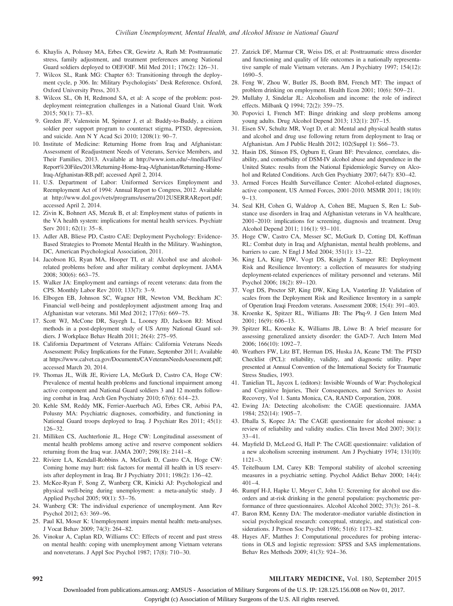- 6. Khaylis A, Polusny MA, Erbes CR, Gewirtz A, Rath M: Posttraumatic stress, family adjustment, and treatment preferences among National Guard soldiers deployed to OEF/OIF. Mil Med 2011; 176(2): 126–31.
- 7. Wilcox SL, Rank MG: Chapter 63: Transitioning through the deployment cycle, p 306. In: Military Psychologists' Desk Reference. Oxford, Oxford University Press, 2013.
- 8. Wilcox SL, Oh H, Redmond SA, et al: A scope of the problem: postdeployment reintegration challenges in a National Guard Unit. Work 2015; 50(1): 73–83.
- 9. Greden JF, Valenstein M, Spinner J, et al: Buddy-to-Buddy, a citizen soldier peer support program to counteract stigma, PTSD, depression, and suicide. Ann N Y Acad Sci 2010; 1208(1): 90–7.
- 10. Institute of Medicine: Returning Home from Iraq and Afghanistan: Assessment of Readjustment Needs of Veterans, Service Members, and Their Families, 2013. Available at http://www.iom.edu/~/media/Files/ Report%20Files/2013/Returning-Home-Iraq-Afghanistan/Returning-Home-Iraq-Afghanistan-RB.pdf; accessed April 2, 2014.
- 11. U.S. Department of Labor: Uniformed Services Employment and Reemployment Act of 1994: Annual Report to Congress, 2012. Available at http://www.dol.gov/vets/programs/userra/2012USERRAReport.pdf; accessed April 2, 2014.
- 12. Zivin K, Bohnert AS, Mezuk B, et al: Employment status of patients in the VA health system: implications for mental health services. Psychiatr Serv 2011; 62(1): 35–8.
- 13. Adler AB, Bliese PD, Castro CAE: Deployment Psychology: Evidence-Based Strategies to Promote Mental Health in the Military. Washington, DC, American Psychological Association, 2011.
- 14. Jacobson IG, Ryan MA, Hooper TI, et al: Alcohol use and alcoholrelated problems before and after military combat deployment. JAMA 2008; 300(6): 663–75.
- 15. Walker JA: Employment and earnings of recent veterans: data from the CPS. Monthly Labor Rev 2010; 133(7): 3–9.
- 16. Elbogen EB, Johnson SC, Wagner HR, Newton VM, Beckham JC: Financial well-being and postdeployment adjustment among Iraq and Afghanistan war veterans. Mil Med 2012; 177(6): 669–75.
- 17. Scott WJ, McCone DR, Sayegh L, Looney JD, Jackson RJ: Mixed methods in a post-deployment study of US Army National Guard soldiers. J Workplace Behav Health 2011; 26(4): 275–95.
- 18. California Department of Veterans Affairs: California Veterans Needs Assessment: Policy Implications for the Future, September 2011; Available at https://www.calvet.ca.gov/Documents/CAVeteransNeedsAssessment.pdf; accessed March 20, 2014.
- 19. Thomas JL, Wilk JE, Riviere LA, McGurk D, Castro CA, Hoge CW: Prevalence of mental health problems and functional impairment among active component and National Guard soldiers 3 and 12 months following combat in Iraq. Arch Gen Psychiatry 2010; 67(6): 614–23.
- 20. Kehle SM, Reddy MK, Ferrier-Auerbach AG, Erbes CR, Arbisi PA, Polusny MA: Psychiatric diagnoses, comorbidity, and functioning in National Guard troops deployed to Iraq. J Psychiatr Res 2011; 45(1): 126–32.
- 21. Milliken CS, Auchterlonie JL, Hoge CW: Longitudinal assessment of mental health problems among active and reserve component soldiers returning from the Iraq war. JAMA 2007; 298(18): 2141–8.
- 22. Riviere LA, Kendall-Robbins A, McGurk D, Castro CA, Hoge CW: Coming home may hurt: risk factors for mental ill health in US reservists after deployment in Iraq. Br J Psychiatry 2011; 198(2): 136–42.
- 23. McKee-Ryan F, Song Z, Wanberg CR, Kinicki AJ: Psychological and physical well-being during unemployment: a meta-analytic study. J Applied Psychol 2005; 90(1): 53–76.
- 24. Wanberg CR: The individual experience of unemployment. Ann Rev Psychol 2012; 63: 369–96.
- 25. Paul KI, Moser K: Unemployment impairs mental health: meta-analyses. J Vocat Behav 2009; 74(3): 264–82.
- 26. Vinokur A, Caplan RD, Williams CC: Effects of recent and past stress on mental health: coping with unemployment among Vietnam veterans and nonveterans. J Appl Soc Psychol 1987; 17(8): 710–30.
- 27. Zatzick DF, Marmar CR, Weiss DS, et al: Posttraumatic stress disorder and functioning and quality of life outcomes in a nationally representative sample of male Vietnam veterans. Am J Psychiatry 1997; 154(12): 1690–5.
- 28. Feng W, Zhou W, Butler JS, Booth BM, French MT: The impact of problem drinking on employment. Health Econ 2001; 10(6): 509–21.
- 29. Mullahy J, Sindelar JL: Alcoholism and income: the role of indirect effects. Milbank Q 1994; 72(2): 359–75.
- 30. Popovici I, French MT: Binge drinking and sleep problems among young adults. Drug Alcohol Depend 2013; 132(1): 207–15.
- 31. Eisen SV, Schultz MR, Vogt D, et al: Mental and physical health status and alcohol and drug use following return from deployment to Iraq or Afghanistan. Am J Public Health 2012; 102(Suppl 1): S66–73.
- 32. Hasin DS, Stinson FS, Ogburn E, Grant BF: Prevalence, correlates, disability, and comorbidity of DSM-IV alcohol abuse and dependence in the United States: results from the National Epidemiologic Survey on Alcohol and Related Conditions. Arch Gen Psychiatry 2007; 64(7): 830–42.
- 33. Armed Forces Health Surveillance Center: Alcohol-related diagnoses, active component, US Armed Forces, 2001-2010. MSMR 2011; 18(10):  $9 - 13$ .
- 34. Seal KH, Cohen G, Waldrop A, Cohen BE, Maguen S, Ren L: Substance use disorders in Iraq and Afghanistan veterans in VA healthcare, 2001–2010: implications for screening, diagnosis and treatment. Drug Alcohol Depend 2011; 116(1): 93–101.
- 35. Hoge CW, Castro CA, Messer SC, McGurk D, Cotting DI, Koffman RL: Combat duty in Iraq and Afghanistan, mental health problems, and barriers to care. N Engl J Med 2004; 351(1): 13–22.
- 36. King LA, King DW, Vogt DS, Knight J, Samper RE: Deployment Risk and Resilience Inventory: a collection of measures for studying deployment-related experiences of military personnel and veterans. Mil Psychol 2006; 18(2): 89–120.
- 37. Vogt DS, Proctor SP, King DW, King LA, Vasterling JJ: Validation of scales from the Deployment Risk and Resilience Inventory in a sample of Operation Iraqi Freedom veterans. Assessment 2008; 15(4): 391–403.
- 38. Kroenke K, Spitzer RL, Williams JB: The Phq-9. J Gen Intern Med 2001; 16(9): 606–13.
- 39. Spitzer RL, Kroenke K, Williams JB, Löwe B: A brief measure for assessing generalized anxiety disorder: the GAD-7. Arch Intern Med 2006; 166(10): 1092–7.
- 40. Weathers FW, Litz BT, Herman DS, Huska JA, Keane TM: The PTSD Checklist (PCL): reliability, validity, and diagnostic utility. Paper presented at Annual Convention of the International Society for Traumatic Stress Studies, 1993.
- 41. Tanielian TL, Jaycox L (editors): Invisible Wounds of War: Psychological and Cognitive Injuries, Their Consequences, and Services to Assist Recovery, Vol 1. Santa Monica, CA, RAND Corporation, 2008.
- 42. Ewing JA: Detecting alcoholism: the CAGE questionnaire. JAMA 1984; 252(14): 1905–7.
- 43. Dhalla S, Kopec JA: The CAGE questionnaire for alcohol misuse: a review of reliability and validity studies. Clin Invest Med 2007; 30(1): 33–41.
- 44. Mayfield D, McLeod G, Hall P: The CAGE questionnaire: validation of a new alcoholism screening instrument. Am J Psychiatry 1974; 131(10): 1121–3.
- 45. Teitelbaum LM, Carey KB: Temporal stability of alcohol screening measures in a psychiatric setting. Psychol Addict Behav 2000; 14(4):  $401 - 4$ .
- 46. Rumpf H-J, Hapke U, Meyer C, John U: Screening for alcohol use disorders and at-risk drinking in the general population: psychometric performance of three questionnaires. Alcohol Alcohol 2002; 37(3): 261–8.
- 47. Baron RM, Kenny DA: The moderator–mediator variable distinction in social psychological research: conceptual, strategic, and statistical considerations. J Person Soc Psychol 1986; 51(6): 1173–82.
- 48. Hayes AF, Matthes J: Computational procedures for probing interactions in OLS and logistic regression: SPSS and SAS implementations. Behav Res Methods 2009; 41(3): 924–36.

## 992 MILITARY MEDICINE, Vol. 180, September 2015

Downloaded from publications.amsus.org: AMSUS - Association of Military Surgeons of the U.S. IP: 128.125.156.008 on Nov 01, 2017.

Copyright (c) Association of Military Surgeons of the U.S. All rights reserved.